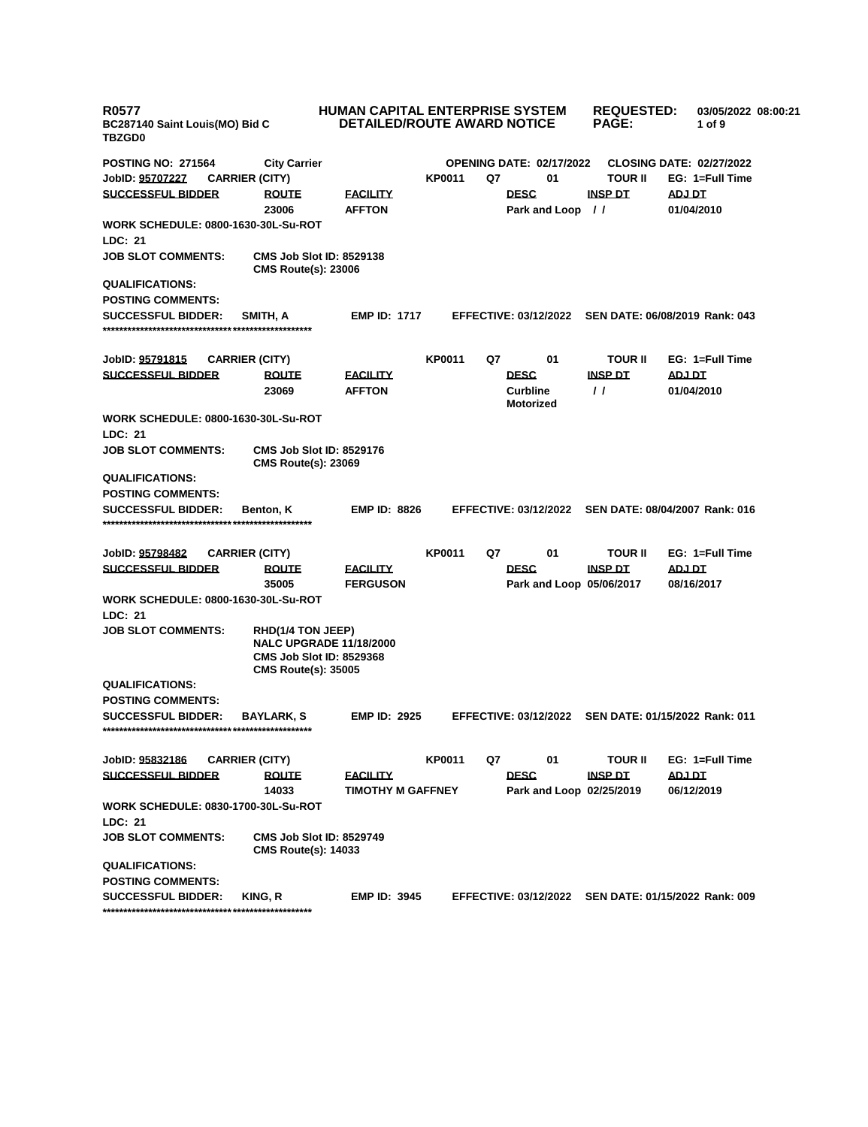| <b>R0577</b><br>BC287140 Saint Louis(MO) Bid C<br><b>TBZGD0</b>              | HUMAN CAPITAL ENTERPRISE SYSTEM<br><b>DETAILED/ROUTE AWARD NOTICE</b> |               |                                                      | <b>REQUESTED:</b><br><b>PAGE:</b> | 03/05/2022 08:00:21<br>1 of 9   |
|------------------------------------------------------------------------------|-----------------------------------------------------------------------|---------------|------------------------------------------------------|-----------------------------------|---------------------------------|
| <b>POSTING NO: 271564</b><br><b>City Carrier</b>                             |                                                                       |               | <b>OPENING DATE: 02/17/2022</b>                      |                                   | <b>CLOSING DATE: 02/27/2022</b> |
| JobID: 95707227<br><b>CARRIER (CITY)</b>                                     |                                                                       | <b>KP0011</b> | Q7<br>01                                             | <b>TOUR II</b>                    | EG: 1=Full Time                 |
| <b>SUCCESSFUL BIDDER</b><br><b>ROUTE</b>                                     | <b>FACILITY</b>                                                       |               | <b>DESC</b>                                          | <b>INSP DT</b>                    | ADJ DT                          |
| 23006                                                                        | <b>AFFTON</b>                                                         |               | Park and Loop //                                     |                                   | 01/04/2010                      |
| <b>WORK SCHEDULE: 0800-1630-30L-Su-ROT</b>                                   |                                                                       |               |                                                      |                                   |                                 |
| LDC: 21                                                                      |                                                                       |               |                                                      |                                   |                                 |
| <b>JOB SLOT COMMENTS:</b><br><b>CMS Route(s): 23006</b>                      | <b>CMS Job Slot ID: 8529138</b>                                       |               |                                                      |                                   |                                 |
| <b>QUALIFICATIONS:</b>                                                       |                                                                       |               |                                                      |                                   |                                 |
| <b>POSTING COMMENTS:</b>                                                     |                                                                       |               |                                                      |                                   |                                 |
| <b>SUCCESSFUL BIDDER:</b><br>SMITH, A                                        | <b>EMP ID: 1717</b>                                                   |               | <b>EFFECTIVE: 03/12/2022</b>                         |                                   | SEN DATE: 06/08/2019 Rank: 043  |
| JobID: 95791815<br><b>CARRIER (CITY)</b>                                     |                                                                       | <b>KP0011</b> | Q7<br>01                                             | <b>TOUR II</b>                    | EG: 1=Full Time                 |
| <b>SUCCESSFUL BIDDER</b><br><b>ROUTE</b>                                     | <b>FACILITY</b>                                                       |               | <b>DESC</b>                                          | <b>INSP DT</b>                    | ADJ DT                          |
| 23069                                                                        | <b>AFFTON</b>                                                         |               | <b>Curbline</b><br><b>Motorized</b>                  | $\prime$ $\prime$                 | 01/04/2010                      |
| <b>WORK SCHEDULE: 0800-1630-30L-Su-ROT</b><br><b>LDC: 21</b>                 |                                                                       |               |                                                      |                                   |                                 |
| <b>JOB SLOT COMMENTS:</b>                                                    | <b>CMS Job Slot ID: 8529176</b>                                       |               |                                                      |                                   |                                 |
| <b>CMS Route(s): 23069</b>                                                   |                                                                       |               |                                                      |                                   |                                 |
| <b>QUALIFICATIONS:</b>                                                       |                                                                       |               |                                                      |                                   |                                 |
| <b>POSTING COMMENTS:</b>                                                     |                                                                       |               |                                                      |                                   |                                 |
| <b>SUCCESSFUL BIDDER:</b><br>Benton, K                                       | <b>EMP ID: 8826</b>                                                   |               | EFFECTIVE: 03/12/2022 SEN DATE: 08/04/2007 Rank: 016 |                                   |                                 |
|                                                                              |                                                                       |               |                                                      |                                   |                                 |
| JobID: 95798482<br><b>CARRIER (CITY)</b>                                     |                                                                       | <b>KP0011</b> | Q7<br>01                                             | <b>TOUR II</b>                    | EG: 1=Full Time                 |
| <b>SUCCESSFUL BIDDER</b><br><b>ROUTE</b>                                     | <b>FACILITY</b>                                                       |               | <b>DESC</b>                                          | <b>INSP DT</b>                    | <b>ADJ DT</b>                   |
| 35005                                                                        | <b>FERGUSON</b>                                                       |               | Park and Loop 05/06/2017                             |                                   | 08/16/2017                      |
| WORK SCHEDULE: 0800-1630-30L-Su-ROT                                          |                                                                       |               |                                                      |                                   |                                 |
| LDC: 21                                                                      |                                                                       |               |                                                      |                                   |                                 |
| <b>JOB SLOT COMMENTS:</b><br>RHD(1/4 TON JEEP)<br><b>CMS Route(s): 35005</b> | <b>NALC UPGRADE 11/18/2000</b><br><b>CMS Job Slot ID: 8529368</b>     |               |                                                      |                                   |                                 |
| <b>QUALIFICATIONS:</b>                                                       |                                                                       |               |                                                      |                                   |                                 |
| <b>POSTING COMMENTS:</b>                                                     |                                                                       |               |                                                      |                                   |                                 |
| <b>SUCCESSFUL BIDDER:</b><br><b>BAYLARK, S</b>                               | <b>EMP ID: 2925</b>                                                   |               | <b>EFFECTIVE: 03/12/2022</b>                         |                                   | SEN DATE: 01/15/2022 Rank: 011  |
|                                                                              |                                                                       |               |                                                      |                                   |                                 |
| JobID: 95832186<br><b>CARRIER (CITY)</b>                                     |                                                                       | <b>KP0011</b> | Q7<br>01                                             | <b>TOUR II</b>                    | EG: 1=Full Time                 |
| <b>SUCCESSFUL BIDDER</b><br><b>ROUTE</b>                                     | <b>FACILITY</b>                                                       |               | <b>DESC</b>                                          | <b>INSP DT</b>                    | ADJ DT                          |
| 14033                                                                        | <b>TIMOTHY M GAFFNEY</b>                                              |               | Park and Loop 02/25/2019                             |                                   | 06/12/2019                      |
| <b>WORK SCHEDULE: 0830-1700-30L-Su-ROT</b><br>LDC: 21                        |                                                                       |               |                                                      |                                   |                                 |
| <b>JOB SLOT COMMENTS:</b><br><b>CMS Route(s): 14033</b>                      | <b>CMS Job Slot ID: 8529749</b>                                       |               |                                                      |                                   |                                 |
| <b>QUALIFICATIONS:</b>                                                       |                                                                       |               |                                                      |                                   |                                 |
| <b>POSTING COMMENTS:</b>                                                     |                                                                       |               |                                                      |                                   |                                 |
| <b>SUCCESSFUL BIDDER:</b><br>KING, R                                         | <b>EMP ID: 3945</b>                                                   |               | <b>EFFECTIVE: 03/12/2022</b>                         |                                   | SEN DATE: 01/15/2022 Rank: 009  |
|                                                                              |                                                                       |               |                                                      |                                   |                                 |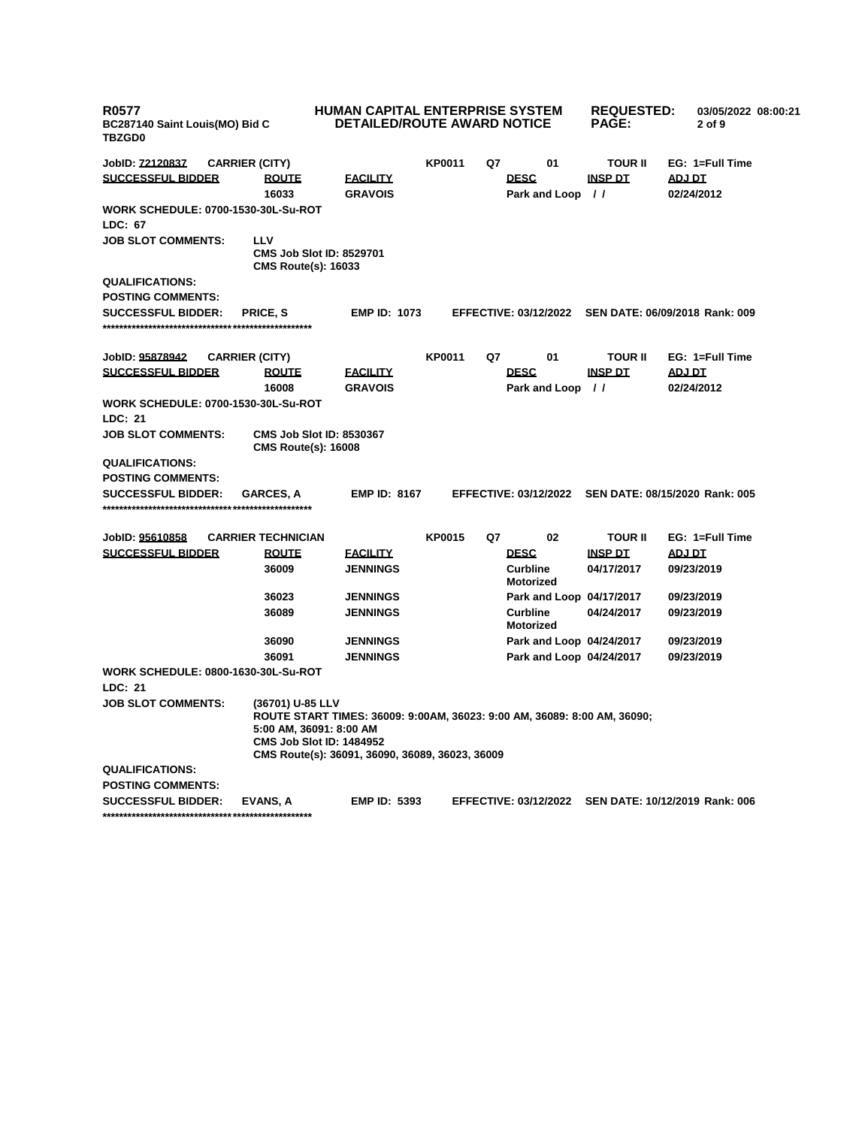| <b>R0577</b><br>BC287140 Saint Louis(MO) Bid C<br><b>TBZGD0</b> |                                                                                | HUMAN CAPITAL ENTERPRISE SYSTEM<br><b>DETAILED/ROUTE AWARD NOTICE</b>                                                       |               |    |                                     | <b>REQUESTED:</b><br><b>PAGE:</b> | 03/05/2022 08:00:21<br>2 of 9  |
|-----------------------------------------------------------------|--------------------------------------------------------------------------------|-----------------------------------------------------------------------------------------------------------------------------|---------------|----|-------------------------------------|-----------------------------------|--------------------------------|
| JobID: <u>72120837</u>                                          | <b>CARRIER (CITY)</b>                                                          |                                                                                                                             | <b>KP0011</b> | Q7 | 01                                  | TOUR II                           | EG: 1=Full Time                |
| <b>SUCCESSFUL BIDDER</b>                                        | <b>ROUTE</b>                                                                   | <b>FACILITY</b>                                                                                                             |               |    | <b>DESC</b>                         | <b>INSP DT</b>                    | ADJ DT                         |
|                                                                 | 16033                                                                          | <b>GRAVOIS</b>                                                                                                              |               |    | Park and Loop //                    |                                   | 02/24/2012                     |
| <b>WORK SCHEDULE: 0700-1530-30L-Su-ROT</b>                      |                                                                                |                                                                                                                             |               |    |                                     |                                   |                                |
| <b>LDC: 67</b>                                                  |                                                                                |                                                                                                                             |               |    |                                     |                                   |                                |
| <b>JOB SLOT COMMENTS:</b>                                       | LLV<br><b>CMS Job Slot ID: 8529701</b><br><b>CMS Route(s): 16033</b>           |                                                                                                                             |               |    |                                     |                                   |                                |
| <b>QUALIFICATIONS:</b>                                          |                                                                                |                                                                                                                             |               |    |                                     |                                   |                                |
| <b>POSTING COMMENTS:</b>                                        |                                                                                |                                                                                                                             |               |    |                                     |                                   |                                |
| <b>SUCCESSFUL BIDDER:</b>                                       | PRICE, S                                                                       | <b>EMP ID: 1073</b>                                                                                                         |               |    | <b>EFFECTIVE: 03/12/2022</b>        |                                   | SEN DATE: 06/09/2018 Rank: 009 |
|                                                                 |                                                                                |                                                                                                                             |               |    |                                     |                                   |                                |
|                                                                 |                                                                                |                                                                                                                             | <b>KP0011</b> | Q7 | 01                                  | TOUR II                           | EG: 1=Full Time                |
| JobID: 95878942<br><b>SUCCESSFUL BIDDER</b>                     | <b>CARRIER (CITY)</b><br><b>ROUTE</b>                                          | <b>FACILITY</b>                                                                                                             |               |    | <b>DESC</b>                         | <b>INSP DT</b>                    | <b>ADJ DT</b>                  |
|                                                                 | 16008                                                                          | <b>GRAVOIS</b>                                                                                                              |               |    | Park and Loop //                    |                                   | 02/24/2012                     |
| <b>WORK SCHEDULE: 0700-1530-30L-Su-ROT</b>                      |                                                                                |                                                                                                                             |               |    |                                     |                                   |                                |
| <b>LDC: 21</b>                                                  |                                                                                |                                                                                                                             |               |    |                                     |                                   |                                |
| <b>JOB SLOT COMMENTS:</b>                                       | <b>CMS Job Slot ID: 8530367</b><br><b>CMS Route(s): 16008</b>                  |                                                                                                                             |               |    |                                     |                                   |                                |
| <b>QUALIFICATIONS:</b>                                          |                                                                                |                                                                                                                             |               |    |                                     |                                   |                                |
| <b>POSTING COMMENTS:</b>                                        |                                                                                |                                                                                                                             |               |    |                                     |                                   |                                |
| <b>SUCCESSFUL BIDDER:</b>                                       | <b>GARCES, A</b>                                                               | <b>EMP ID: 8167</b>                                                                                                         |               |    | <b>EFFECTIVE: 03/12/2022</b>        |                                   | SEN DATE: 08/15/2020 Rank: 005 |
|                                                                 |                                                                                |                                                                                                                             |               |    |                                     |                                   |                                |
| JobID: 95610858                                                 | <b>CARRIER TECHNICIAN</b>                                                      |                                                                                                                             | <b>KP0015</b> | Q7 | 02                                  | <b>TOUR II</b>                    | EG: 1=Full Time                |
| <b>SUCCESSFUL BIDDER</b>                                        | <b>ROUTE</b>                                                                   | <b>FACILITY</b>                                                                                                             |               |    | <b>DESC</b>                         | <b>INSP DT</b>                    | <b>ADJ DT</b>                  |
|                                                                 | 36009                                                                          | <b>JENNINGS</b>                                                                                                             |               |    | <b>Curbline</b><br><b>Motorized</b> | 04/17/2017                        | 09/23/2019                     |
|                                                                 | 36023                                                                          | <b>JENNINGS</b>                                                                                                             |               |    | Park and Loop 04/17/2017            |                                   | 09/23/2019                     |
|                                                                 | 36089                                                                          | <b>JENNINGS</b>                                                                                                             |               |    | <b>Curbline</b><br><b>Motorized</b> | 04/24/2017                        | 09/23/2019                     |
|                                                                 | 36090                                                                          | <b>JENNINGS</b>                                                                                                             |               |    | Park and Loop 04/24/2017            |                                   | 09/23/2019                     |
|                                                                 | 36091                                                                          | <b>JENNINGS</b>                                                                                                             |               |    | Park and Loop 04/24/2017            |                                   | 09/23/2019                     |
| <b>WORK SCHEDULE: 0800-1630-30L-Su-ROT</b>                      |                                                                                |                                                                                                                             |               |    |                                     |                                   |                                |
| LDC: 21                                                         |                                                                                |                                                                                                                             |               |    |                                     |                                   |                                |
| <b>JOB SLOT COMMENTS:</b>                                       | (36701) U-85 LLV<br>5:00 AM, 36091: 8:00 AM<br><b>CMS Job Slot ID: 1484952</b> | ROUTE START TIMES: 36009: 9:00AM, 36023: 9:00 AM, 36089: 8:00 AM, 36090;<br>CMS Route(s): 36091, 36090, 36089, 36023, 36009 |               |    |                                     |                                   |                                |
| <b>QUALIFICATIONS:</b>                                          |                                                                                |                                                                                                                             |               |    |                                     |                                   |                                |
| <b>POSTING COMMENTS:</b>                                        |                                                                                |                                                                                                                             |               |    |                                     |                                   |                                |
| <b>SUCCESSFUL BIDDER:</b>                                       | EVANS, A                                                                       | <b>EMP ID: 5393</b>                                                                                                         |               |    | <b>EFFECTIVE: 03/12/2022</b>        |                                   | SEN DATE: 10/12/2019 Rank: 006 |
|                                                                 |                                                                                |                                                                                                                             |               |    |                                     |                                   |                                |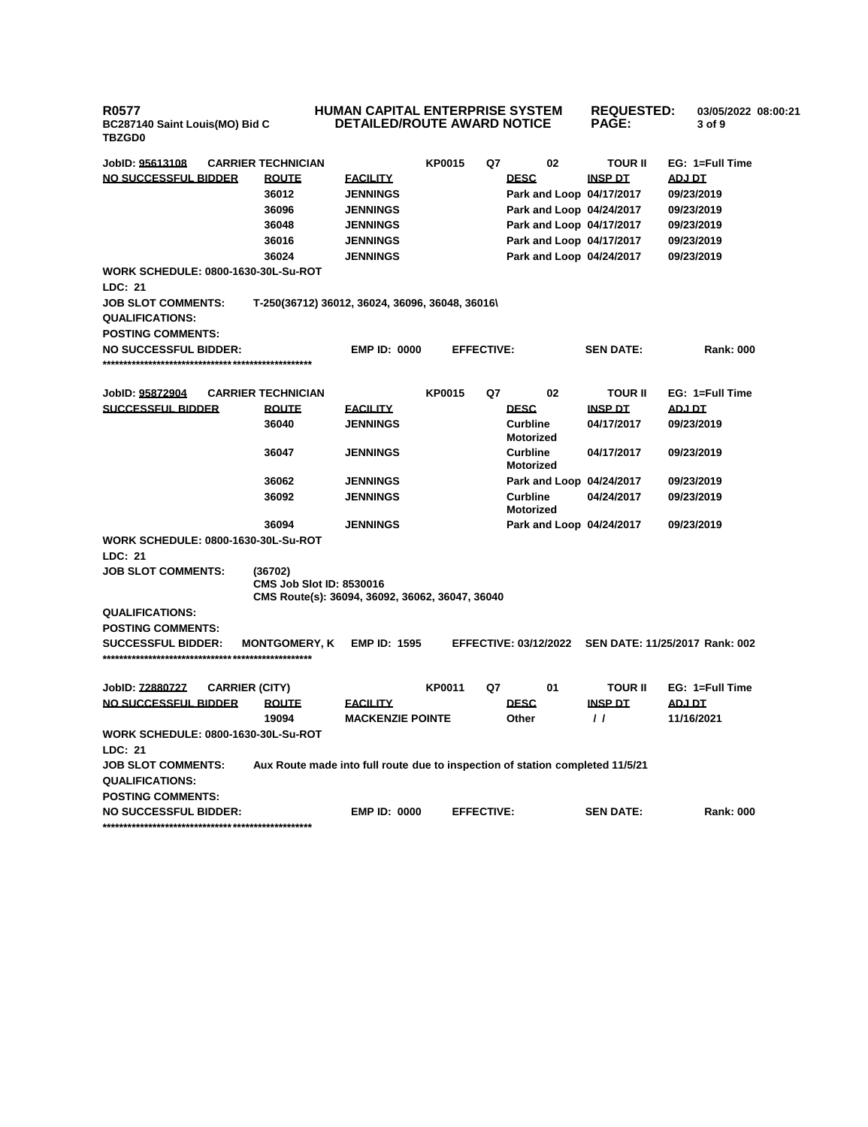**R0577 BC287140 Saint Louis(MO) Bid C TBZGD0**

## **HUMAN CAPITAL ENTERPRISE SYSTEM DETAILED/ROUTE AWARD NOTICE REQUESTED: 03/05/2022 08:00:21 PAGE: 3 of 9**

| JobID: 95613108                                          | <b>CARRIER TECHNICIAN</b>                                                          |                         | <b>KP0015</b>     | Q7 | 02                                  | TOUR II          | EG: 1=Full Time                |
|----------------------------------------------------------|------------------------------------------------------------------------------------|-------------------------|-------------------|----|-------------------------------------|------------------|--------------------------------|
| NO SUCCESSFUL BIDDER                                     | <b>ROUTE</b>                                                                       | <b>FACILITY</b>         |                   |    | <b>DESC</b>                         | <b>INSP DT</b>   | <b>ADJ DT</b>                  |
|                                                          | 36012                                                                              | <b>JENNINGS</b>         |                   |    | Park and Loop 04/17/2017            |                  | 09/23/2019                     |
|                                                          | 36096                                                                              | <b>JENNINGS</b>         |                   |    | Park and Loop 04/24/2017            |                  | 09/23/2019                     |
|                                                          | 36048                                                                              | <b>JENNINGS</b>         |                   |    | Park and Loop 04/17/2017            |                  | 09/23/2019                     |
|                                                          | 36016                                                                              | <b>JENNINGS</b>         |                   |    | Park and Loop 04/17/2017            |                  | 09/23/2019                     |
|                                                          | 36024                                                                              | <b>JENNINGS</b>         |                   |    | Park and Loop 04/24/2017            |                  | 09/23/2019                     |
| <b>WORK SCHEDULE: 0800-1630-30L-Su-ROT</b>               |                                                                                    |                         |                   |    |                                     |                  |                                |
| <b>LDC: 21</b>                                           |                                                                                    |                         |                   |    |                                     |                  |                                |
| <b>JOB SLOT COMMENTS:</b>                                | T-250(36712) 36012, 36024, 36096, 36048, 36016\                                    |                         |                   |    |                                     |                  |                                |
| <b>QUALIFICATIONS:</b>                                   |                                                                                    |                         |                   |    |                                     |                  |                                |
| <b>POSTING COMMENTS:</b>                                 |                                                                                    |                         |                   |    |                                     |                  |                                |
| <b>NO SUCCESSFUL BIDDER:</b>                             |                                                                                    | <b>EMP ID: 0000</b>     | <b>EFFECTIVE:</b> |    |                                     | <b>SEN DATE:</b> | <b>Rank: 000</b>               |
|                                                          |                                                                                    |                         |                   |    |                                     |                  |                                |
| JobID: 95872904                                          | <b>CARRIER TECHNICIAN</b>                                                          |                         | <b>KP0015</b>     | Q7 | 02                                  | TOUR II          | EG: 1=Full Time                |
| <b>SUCCESSFUL BIDDER</b>                                 | <b>ROUTE</b>                                                                       | <b>FACILITY</b>         |                   |    | <b>DESC</b>                         | <b>INSP DT</b>   | ADJ DT                         |
|                                                          | 36040                                                                              | <b>JENNINGS</b>         |                   |    | <b>Curbline</b>                     | 04/17/2017       | 09/23/2019                     |
|                                                          |                                                                                    |                         |                   |    | <b>Motorized</b>                    |                  |                                |
|                                                          | 36047                                                                              | <b>JENNINGS</b>         |                   |    | <b>Curbline</b>                     | 04/17/2017       | 09/23/2019                     |
|                                                          |                                                                                    |                         |                   |    | <b>Motorized</b>                    |                  |                                |
|                                                          | 36062                                                                              | <b>JENNINGS</b>         |                   |    | Park and Loop 04/24/2017            |                  | 09/23/2019                     |
|                                                          | 36092                                                                              | <b>JENNINGS</b>         |                   |    | <b>Curbline</b><br><b>Motorized</b> | 04/24/2017       | 09/23/2019                     |
|                                                          | 36094                                                                              | <b>JENNINGS</b>         |                   |    | Park and Loop 04/24/2017            |                  | 09/23/2019                     |
| <b>WORK SCHEDULE: 0800-1630-30L-Su-ROT</b>               |                                                                                    |                         |                   |    |                                     |                  |                                |
| <b>LDC: 21</b>                                           |                                                                                    |                         |                   |    |                                     |                  |                                |
| <b>JOB SLOT COMMENTS:</b>                                | (36702)                                                                            |                         |                   |    |                                     |                  |                                |
|                                                          | <b>CMS Job Slot ID: 8530016</b><br>CMS Route(s): 36094, 36092, 36062, 36047, 36040 |                         |                   |    |                                     |                  |                                |
| <b>QUALIFICATIONS:</b>                                   |                                                                                    |                         |                   |    |                                     |                  |                                |
| <b>POSTING COMMENTS:</b>                                 |                                                                                    |                         |                   |    |                                     |                  |                                |
| <b>SUCCESSFUL BIDDER:</b>                                | <b>MONTGOMERY. K</b>                                                               | <b>EMP ID: 1595</b>     |                   |    | <b>EFFECTIVE: 03/12/2022</b>        |                  | SEN DATE: 11/25/2017 Rank: 002 |
|                                                          |                                                                                    |                         |                   |    |                                     |                  |                                |
|                                                          |                                                                                    |                         |                   |    |                                     |                  |                                |
| JobID: <u>72880727</u><br><b>CARRIER (CITY)</b>          |                                                                                    |                         | <b>KP0011</b>     | Q7 | 01                                  | <b>TOUR II</b>   | EG: 1=Full Time                |
| NO SUCCESSFUL BIDDER                                     | <b>ROUTE</b>                                                                       | <b>FACILITY</b>         |                   |    | <b>DESC</b>                         | <b>INSP DT</b>   | ADJ DT                         |
|                                                          | 19094                                                                              | <b>MACKENZIE POINTE</b> |                   |    | Other                               | $\prime$         | 11/16/2021                     |
| <b>WORK SCHEDULE: 0800-1630-30L-Su-ROT</b>               |                                                                                    |                         |                   |    |                                     |                  |                                |
| LDC: 21                                                  |                                                                                    |                         |                   |    |                                     |                  |                                |
| <b>JOB SLOT COMMENTS:</b>                                | Aux Route made into full route due to inspection of station completed 11/5/21      |                         |                   |    |                                     |                  |                                |
| <b>QUALIFICATIONS:</b>                                   |                                                                                    |                         |                   |    |                                     |                  |                                |
| <b>POSTING COMMENTS:</b><br><b>NO SUCCESSFUL BIDDER:</b> |                                                                                    | <b>EMP ID: 0000</b>     | <b>EFFECTIVE:</b> |    |                                     | <b>SEN DATE:</b> | <b>Rank: 000</b>               |
|                                                          |                                                                                    |                         |                   |    |                                     |                  |                                |
|                                                          |                                                                                    |                         |                   |    |                                     |                  |                                |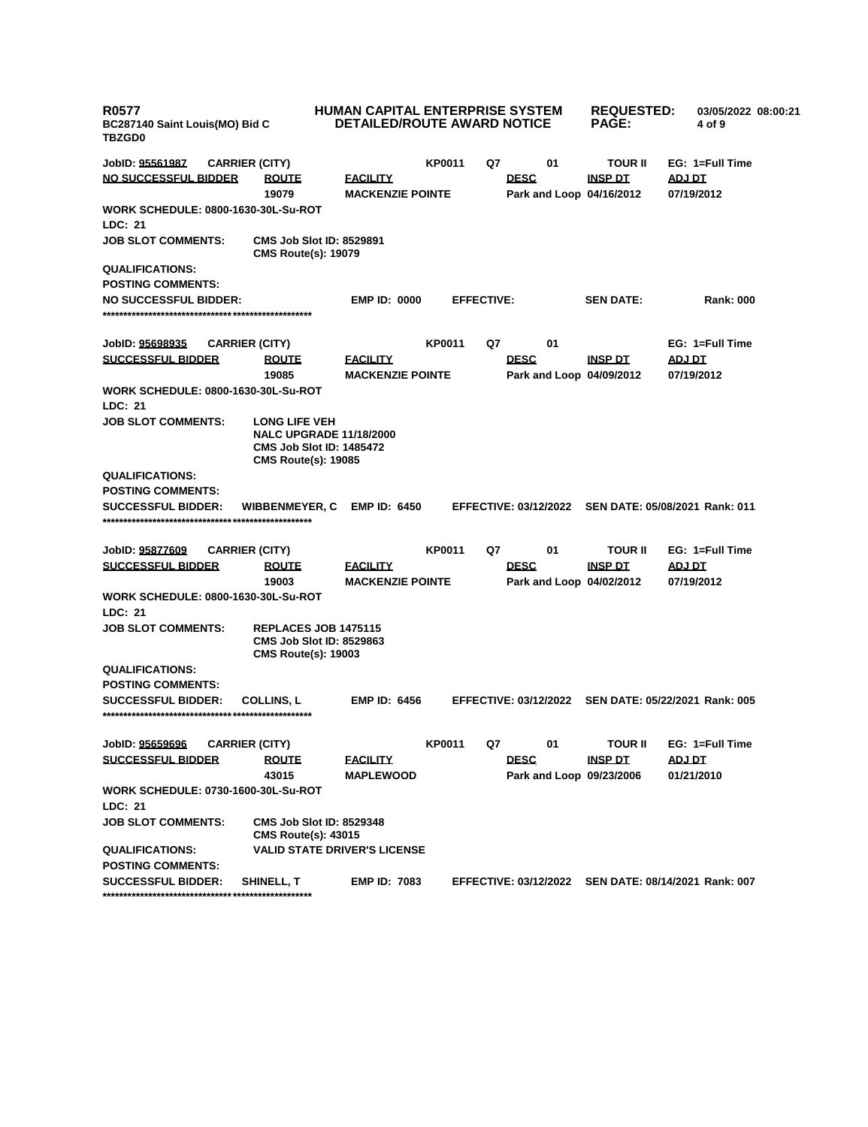| <b>R0577</b><br>BC287140 Saint Louis(MO) Bid C<br><b>TBZGD0</b>                | <b>HUMAN CAPITAL ENTERPRISE SYSTEM</b><br><b>DETAILED/ROUTE AWARD NOTICE</b> |               |                                                      | <b>REQUESTED:</b><br><b>PAGE:</b> | 03/05/2022 08:00:21<br>4 of 9  |
|--------------------------------------------------------------------------------|------------------------------------------------------------------------------|---------------|------------------------------------------------------|-----------------------------------|--------------------------------|
| JobID: 95561987<br><b>CARRIER (CITY)</b>                                       |                                                                              | <b>KP0011</b> | Q7<br>01                                             | <b>TOUR II</b>                    | EG: 1=Full Time                |
| <b>NO SUCCESSFUL BIDDER</b><br><b>ROUTE</b><br>19079                           | <b>FACILITY</b><br><b>MACKENZIE POINTE</b>                                   |               | <b>DESC</b><br>Park and Loop 04/16/2012              | <b>INSP DT</b>                    | ADJ DT<br>07/19/2012           |
| <b>WORK SCHEDULE: 0800-1630-30L-Su-ROT</b><br>LDC: 21                          |                                                                              |               |                                                      |                                   |                                |
| <b>JOB SLOT COMMENTS:</b><br><b>CMS Route(s): 19079</b>                        | <b>CMS Job Slot ID: 8529891</b>                                              |               |                                                      |                                   |                                |
| <b>QUALIFICATIONS:</b>                                                         |                                                                              |               |                                                      |                                   |                                |
| <b>POSTING COMMENTS:</b>                                                       |                                                                              |               |                                                      |                                   |                                |
| <b>NO SUCCESSFUL BIDDER:</b>                                                   | <b>EMP ID: 0000</b>                                                          |               | <b>EFFECTIVE:</b>                                    | <b>SEN DATE:</b>                  | <b>Rank: 000</b>               |
|                                                                                |                                                                              |               |                                                      |                                   |                                |
|                                                                                |                                                                              |               |                                                      |                                   |                                |
| JobID: 95698935<br><b>CARRIER (CITY)</b>                                       |                                                                              | <b>KP0011</b> | 01<br>Q7                                             |                                   | EG: 1=Full Time                |
| <b>SUCCESSFUL BIDDER</b><br><b>ROUTE</b><br>19085                              | <u>FACILITY</u>                                                              |               | <b>DESC</b>                                          | <b>INSP DT</b>                    | <b>ADJ DT</b>                  |
| <b>WORK SCHEDULE: 0800-1630-30L-Su-ROT</b>                                     | <b>MACKENZIE POINTE</b>                                                      |               | Park and Loop 04/09/2012                             |                                   | 07/19/2012                     |
| LDC: 21                                                                        |                                                                              |               |                                                      |                                   |                                |
| <b>JOB SLOT COMMENTS:</b><br><b>LONG LIFE VEH</b>                              | <b>NALC UPGRADE 11/18/2000</b><br><b>CMS Job Slot ID: 1485472</b>            |               |                                                      |                                   |                                |
| <b>CMS Route(s): 19085</b><br><b>QUALIFICATIONS:</b>                           |                                                                              |               |                                                      |                                   |                                |
| <b>POSTING COMMENTS:</b><br><b>SUCCESSFUL BIDDER:</b><br><b>WIBBENMEYER, C</b> | <b>EMP ID: 6450</b>                                                          |               | EFFECTIVE: 03/12/2022 SEN DATE: 05/08/2021 Rank: 011 |                                   |                                |
|                                                                                |                                                                              |               |                                                      |                                   |                                |
| JobID: 95877609<br><b>CARRIER (CITY)</b>                                       |                                                                              | <b>KP0011</b> | 01<br>Q7                                             | <b>TOUR II</b>                    | EG: 1=Full Time                |
| <b>SUCCESSFUL BIDDER</b><br><b>ROUTE</b><br>19003                              | <u>FACILITY</u><br><b>MACKENZIE POINTE</b>                                   |               | <b>DESC</b><br>Park and Loop 04/02/2012              | <b>INSP DT</b>                    | <b>ADJ DT</b><br>07/19/2012    |
| <b>WORK SCHEDULE: 0800-1630-30L-Su-ROT</b><br><b>LDC: 21</b>                   |                                                                              |               |                                                      |                                   |                                |
| <b>JOB SLOT COMMENTS:</b><br><b>CMS Route(s): 19003</b>                        | <b>REPLACES JOB 1475115</b><br><b>CMS Job Slot ID: 8529863</b>               |               |                                                      |                                   |                                |
| <b>QUALIFICATIONS:</b>                                                         |                                                                              |               |                                                      |                                   |                                |
| <b>POSTING COMMENTS:</b>                                                       |                                                                              |               |                                                      |                                   |                                |
| <b>COLLINS, L</b><br><b>SUCCESSFUL BIDDER:</b>                                 | <b>EMP ID: 6456</b>                                                          |               | <b>EFFECTIVE: 03/12/2022</b>                         |                                   | SEN DATE: 05/22/2021 Rank: 005 |
|                                                                                |                                                                              |               |                                                      |                                   |                                |
|                                                                                |                                                                              |               |                                                      |                                   |                                |
| JobID: 95659696<br><b>CARRIER (CITY)</b>                                       |                                                                              | <b>KP0011</b> | 01<br>Q7                                             | <b>TOUR II</b>                    | EG: 1=Full Time                |
| <b>SUCCESSFUL BIDDER</b><br><b>ROUTE</b>                                       | <b>FACILITY</b>                                                              |               | <b>DESC</b>                                          | <b>INSP DT</b>                    | ADJ DT                         |
| 43015                                                                          | <b>MAPLEWOOD</b>                                                             |               | Park and Loop 09/23/2006                             |                                   | 01/21/2010                     |
| <b>WORK SCHEDULE: 0730-1600-30L-Su-ROT</b>                                     |                                                                              |               |                                                      |                                   |                                |
| LDC: 21<br><b>JOB SLOT COMMENTS:</b><br><b>CMS Route(s): 43015</b>             | <b>CMS Job Slot ID: 8529348</b>                                              |               |                                                      |                                   |                                |
| <b>QUALIFICATIONS:</b>                                                         | <b>VALID STATE DRIVER'S LICENSE</b>                                          |               |                                                      |                                   |                                |
| <b>POSTING COMMENTS:</b>                                                       |                                                                              |               |                                                      |                                   |                                |
| <b>SUCCESSFUL BIDDER:</b><br><b>SHINELL, T</b>                                 | <b>EMP ID: 7083</b>                                                          |               | <b>EFFECTIVE: 03/12/2022</b>                         |                                   | SEN DATE: 08/14/2021 Rank: 007 |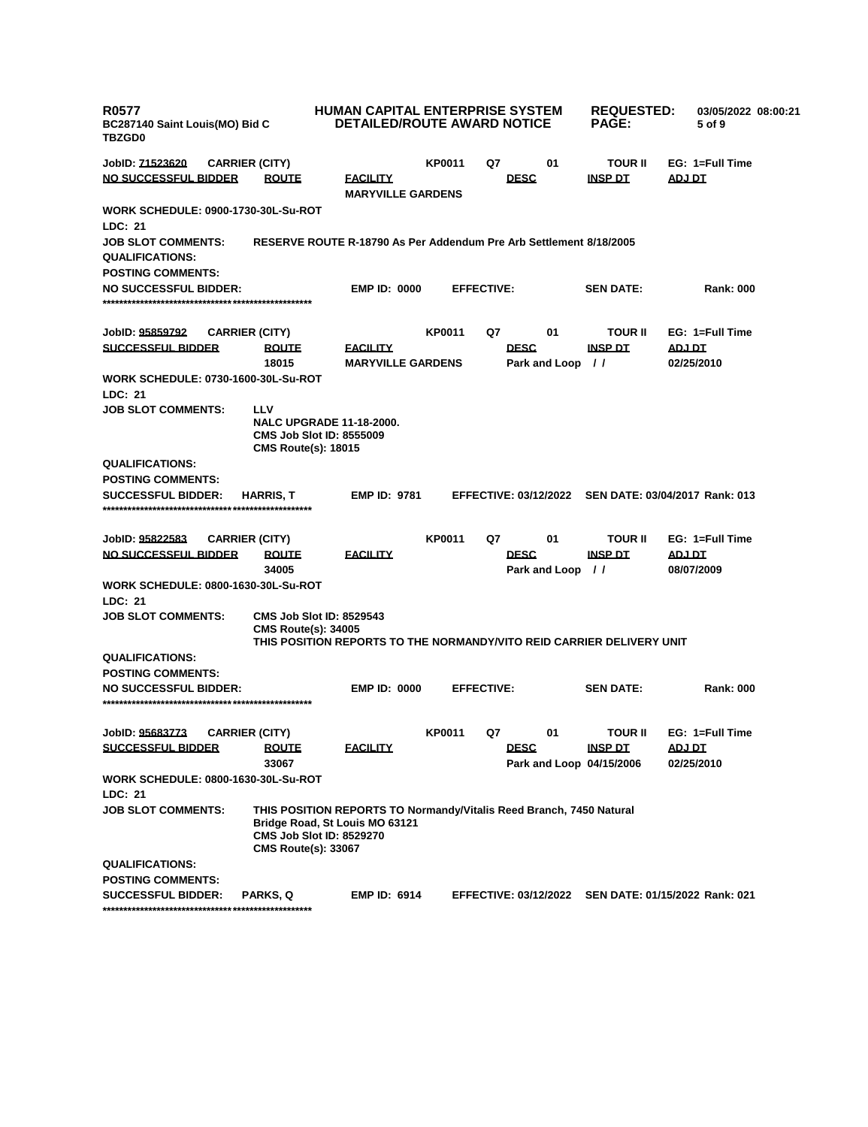| <b>R0577</b><br>BC287140 Saint Louis(MO) Bid C<br><b>TBZGD0</b> |                                                                                                                                                                        | <b>HUMAN CAPITAL ENTERPRISE SYSTEM</b><br><b>DETAILED/ROUTE AWARD NOTICE</b> |               |                   |                                         | <b>REQUESTED:</b><br><b>PAGE:</b> | 03/05/2022 08:00:21<br>5 of 9                        |
|-----------------------------------------------------------------|------------------------------------------------------------------------------------------------------------------------------------------------------------------------|------------------------------------------------------------------------------|---------------|-------------------|-----------------------------------------|-----------------------------------|------------------------------------------------------|
| JobID: <u>71523620</u>                                          | <b>CARRIER (CITY)</b>                                                                                                                                                  |                                                                              | <b>KP0011</b> | Q7                | 01                                      | <b>TOUR II</b>                    | EG: 1=Full Time                                      |
| <u>NO SUCCESSFUL BIDDER</u>                                     | <b>ROUTE</b>                                                                                                                                                           | <b>FACILITY</b><br><b>MARYVILLE GARDENS</b>                                  |               |                   | <b>DESC</b>                             | <b>INSP DT</b>                    | <b>ADJ DT</b>                                        |
| WORK SCHEDULE: 0900-1730-30L-Su-ROT                             |                                                                                                                                                                        |                                                                              |               |                   |                                         |                                   |                                                      |
| LDC: 21                                                         |                                                                                                                                                                        |                                                                              |               |                   |                                         |                                   |                                                      |
| <b>JOB SLOT COMMENTS:</b>                                       | RESERVE ROUTE R-18790 As Per Addendum Pre Arb Settlement 8/18/2005                                                                                                     |                                                                              |               |                   |                                         |                                   |                                                      |
| <b>QUALIFICATIONS:</b>                                          |                                                                                                                                                                        |                                                                              |               |                   |                                         |                                   |                                                      |
| <b>POSTING COMMENTS:</b>                                        |                                                                                                                                                                        |                                                                              |               |                   |                                         |                                   |                                                      |
| <b>NO SUCCESSFUL BIDDER:</b>                                    |                                                                                                                                                                        | <b>EMP ID: 0000</b>                                                          |               | <b>EFFECTIVE:</b> |                                         | <b>SEN DATE:</b>                  | <b>Rank: 000</b>                                     |
| JobID: 95859792                                                 | <b>CARRIER (CITY)</b>                                                                                                                                                  |                                                                              | KP0011        | Q7                | 01                                      | <b>TOUR II</b>                    | EG: 1=Full Time                                      |
| <b>SUCCESSFUL BIDDER</b>                                        | <b>ROUTE</b>                                                                                                                                                           | <b>FACILITY</b>                                                              |               |                   | <b>DESC</b>                             | <b>INSP DT</b>                    | <b>ADJ DT</b>                                        |
|                                                                 | 18015                                                                                                                                                                  | <b>MARYVILLE GARDENS</b>                                                     |               |                   | Park and Loop                           | $\prime$                          | 02/25/2010                                           |
| <b>WORK SCHEDULE: 0730-1600-30L-Su-ROT</b>                      |                                                                                                                                                                        |                                                                              |               |                   |                                         |                                   |                                                      |
| <b>LDC: 21</b>                                                  |                                                                                                                                                                        |                                                                              |               |                   |                                         |                                   |                                                      |
| <b>JOB SLOT COMMENTS:</b>                                       | LLV<br><b>NALC UPGRADE 11-18-2000.</b><br><b>CMS Job Slot ID: 8555009</b><br><b>CMS Route(s): 18015</b>                                                                |                                                                              |               |                   |                                         |                                   |                                                      |
| <b>QUALIFICATIONS:</b>                                          |                                                                                                                                                                        |                                                                              |               |                   |                                         |                                   |                                                      |
| <b>POSTING COMMENTS:</b>                                        |                                                                                                                                                                        |                                                                              |               |                   |                                         |                                   |                                                      |
| <b>SUCCESSFUL BIDDER:</b>                                       | <b>HARRIS T</b>                                                                                                                                                        | <b>EMP ID: 9781</b>                                                          |               |                   | <b>EFFECTIVE: 03/12/2022</b>            |                                   | SEN DATE: 03/04/2017 Rank: 013                       |
| JobID: 95822583                                                 | <b>CARRIER (CITY)</b>                                                                                                                                                  |                                                                              | KP0011        | Q7                | 01                                      | <b>TOUR II</b>                    | EG: 1=Full Time                                      |
| <u>NO SUCCESSFUL BIDDER</u>                                     | <b>ROUTE</b><br>34005                                                                                                                                                  | <b>FACILITY</b>                                                              |               |                   | <b>DESC</b><br>Park and Loop            | <b>INSP DT</b><br>$\frac{1}{2}$   | <b>ADJ DT</b><br>08/07/2009                          |
| <b>WORK SCHEDULE: 0800-1630-30L-Su-ROT</b>                      |                                                                                                                                                                        |                                                                              |               |                   |                                         |                                   |                                                      |
| <b>LDC: 21</b>                                                  |                                                                                                                                                                        |                                                                              |               |                   |                                         |                                   |                                                      |
| <b>JOB SLOT COMMENTS:</b>                                       | <b>CMS Job Slot ID: 8529543</b><br><b>CMS Route(s): 34005</b><br>THIS POSITION REPORTS TO THE NORMANDY/VITO REID CARRIER DELIVERY UNIT                                 |                                                                              |               |                   |                                         |                                   |                                                      |
| <b>QUALIFICATIONS:</b>                                          |                                                                                                                                                                        |                                                                              |               |                   |                                         |                                   |                                                      |
| <b>POSTING COMMENTS:</b>                                        |                                                                                                                                                                        |                                                                              |               |                   |                                         |                                   |                                                      |
| <b>NO SUCCESSFUL BIDDER:</b>                                    |                                                                                                                                                                        | <b>EMP ID: 0000</b>                                                          |               | <b>EFFECTIVE:</b> |                                         | <b>SEN DATE:</b>                  | <b>Rank: 000</b>                                     |
| JobID: 95683773                                                 | <b>CARRIER (CITY)</b>                                                                                                                                                  |                                                                              | KP0011        | Q7                | 01                                      | <b>TOUR II</b>                    | EG: 1=Full Time                                      |
| <u>SUCCESSFUL BIDDER</u>                                        | <u>ROUTE</u><br>33067                                                                                                                                                  | <b>FACILITY</b>                                                              |               |                   | <b>DESC</b><br>Park and Loop 04/15/2006 | <b>INSP DT</b>                    | <b>ADJ DT</b><br>02/25/2010                          |
| WORK SCHEDULE: 0800-1630-30L-Su-ROT<br>LDC: 21                  |                                                                                                                                                                        |                                                                              |               |                   |                                         |                                   |                                                      |
| <b>JOB SLOT COMMENTS:</b>                                       | THIS POSITION REPORTS TO Normandy/Vitalis Reed Branch, 7450 Natural<br>Bridge Road, St Louis MO 63121<br><b>CMS Job Slot ID: 8529270</b><br><b>CMS Route(s): 33067</b> |                                                                              |               |                   |                                         |                                   |                                                      |
| <b>QUALIFICATIONS:</b>                                          |                                                                                                                                                                        |                                                                              |               |                   |                                         |                                   |                                                      |
| <b>POSTING COMMENTS:</b>                                        |                                                                                                                                                                        |                                                                              |               |                   |                                         |                                   |                                                      |
| <b>SUCCESSFUL BIDDER:</b>                                       | <b>PARKS, Q</b>                                                                                                                                                        | <b>EMP ID: 6914</b>                                                          |               |                   |                                         |                                   | EFFECTIVE: 03/12/2022 SEN DATE: 01/15/2022 Rank: 021 |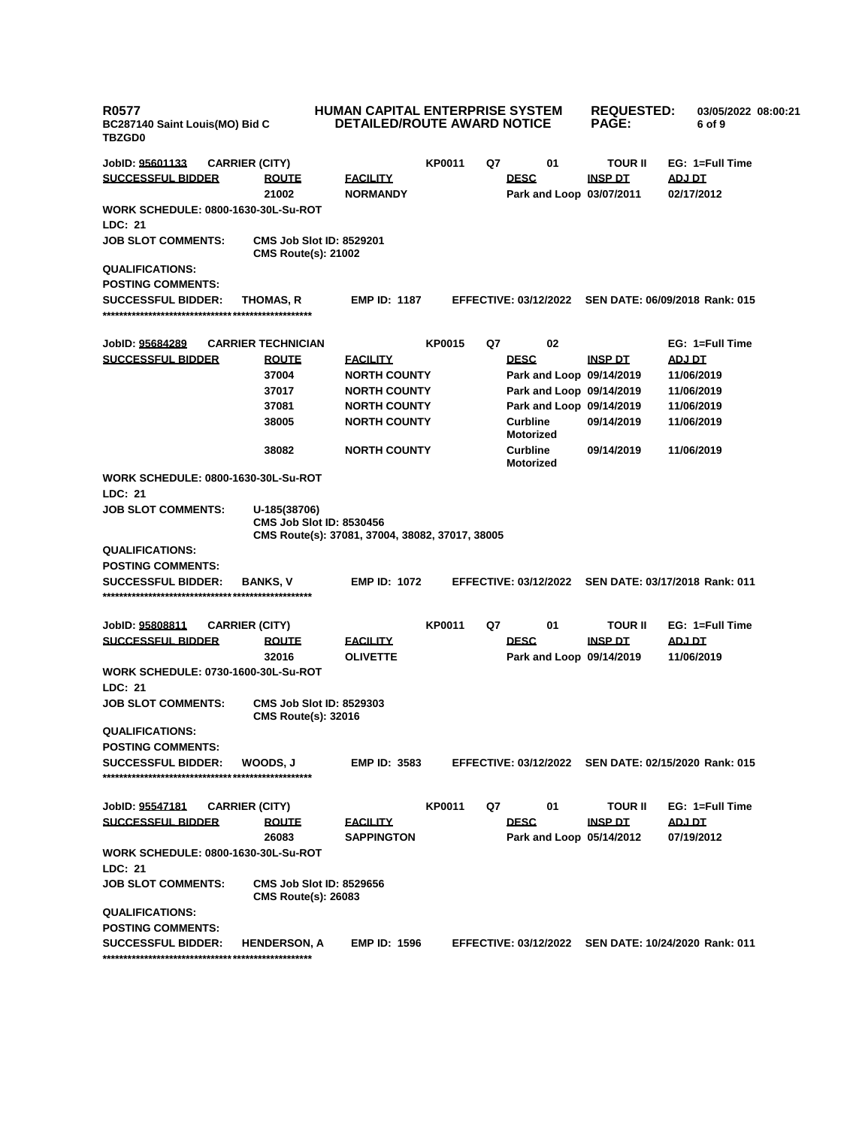| <b>R0577</b><br>BC287140 Saint Louis(MO) Bid C<br><b>TBZGD0</b> |                                            | HUMAN CAPITAL ENTERPRISE SYSTEM<br><b>DETAILED/ROUTE AWARD NOTICE</b>              |               |    |                                         | <b>REQUESTED:</b><br><b>PAGE:</b> | 03/05/2022 08:00:21<br>6 of 9                        |  |
|-----------------------------------------------------------------|--------------------------------------------|------------------------------------------------------------------------------------|---------------|----|-----------------------------------------|-----------------------------------|------------------------------------------------------|--|
| JobID: 95601133                                                 | <b>CARRIER (CITY)</b>                      |                                                                                    | <b>KP0011</b> | Q7 | 01                                      | <b>TOUR II</b>                    | EG: 1=Full Time                                      |  |
| <b>SUCCESSFUL BIDDER</b>                                        | <b>ROUTE</b><br>21002                      | <u>FACILITY</u><br><b>NORMANDY</b>                                                 |               |    | <b>DESC</b><br>Park and Loop 03/07/2011 | INSP DT                           | <b>ADJ DT</b><br>02/17/2012                          |  |
|                                                                 | <b>WORK SCHEDULE: 0800-1630-30L-Su-ROT</b> |                                                                                    |               |    |                                         |                                   |                                                      |  |
| <b>LDC: 21</b>                                                  |                                            |                                                                                    |               |    |                                         |                                   |                                                      |  |
| <b>JOB SLOT COMMENTS:</b>                                       | <b>CMS Route(s): 21002</b>                 | <b>CMS Job Slot ID: 8529201</b>                                                    |               |    |                                         |                                   |                                                      |  |
| <b>QUALIFICATIONS:</b>                                          |                                            |                                                                                    |               |    |                                         |                                   |                                                      |  |
| <b>POSTING COMMENTS:</b>                                        |                                            |                                                                                    |               |    |                                         |                                   |                                                      |  |
| <b>SUCCESSFUL BIDDER:</b>                                       | THOMAS, R                                  | <b>EMP ID: 1187</b>                                                                |               |    | <b>EFFECTIVE: 03/12/2022</b>            |                                   | SEN DATE: 06/09/2018 Rank: 015                       |  |
|                                                                 |                                            |                                                                                    |               |    |                                         |                                   |                                                      |  |
| JobID: 95684289                                                 | <b>CARRIER TECHNICIAN</b>                  |                                                                                    | <b>KP0015</b> | Q7 | 02                                      |                                   | EG: 1=Full Time                                      |  |
| <b>SUCCESSFUL BIDDER</b>                                        | <b>ROUTE</b>                               | <b>FACILITY</b>                                                                    |               |    | <b>DESC</b>                             | <b>INSP DT</b>                    | <u>ADJ DT</u>                                        |  |
|                                                                 | 37004                                      | <b>NORTH COUNTY</b>                                                                |               |    | Park and Loop 09/14/2019                |                                   | 11/06/2019                                           |  |
|                                                                 | 37017                                      | <b>NORTH COUNTY</b>                                                                |               |    | Park and Loop 09/14/2019                |                                   | 11/06/2019                                           |  |
|                                                                 | 37081                                      | <b>NORTH COUNTY</b>                                                                |               |    | Park and Loop 09/14/2019                |                                   | 11/06/2019                                           |  |
|                                                                 | 38005                                      | <b>NORTH COUNTY</b>                                                                |               |    | <b>Curbline</b><br><b>Motorized</b>     | 09/14/2019                        | 11/06/2019                                           |  |
|                                                                 | 38082                                      | <b>NORTH COUNTY</b>                                                                |               |    | <b>Curbline</b><br><b>Motorized</b>     | 09/14/2019                        | 11/06/2019                                           |  |
| LDC: 21                                                         | <b>WORK SCHEDULE: 0800-1630-30L-Su-ROT</b> |                                                                                    |               |    |                                         |                                   |                                                      |  |
| <b>JOB SLOT COMMENTS:</b>                                       | U-185(38706)                               | <b>CMS Job Slot ID: 8530456</b><br>CMS Route(s): 37081, 37004, 38082, 37017, 38005 |               |    |                                         |                                   |                                                      |  |
| <b>QUALIFICATIONS:</b>                                          |                                            |                                                                                    |               |    |                                         |                                   |                                                      |  |
| <b>POSTING COMMENTS:</b>                                        |                                            |                                                                                    |               |    |                                         |                                   |                                                      |  |
| <b>SUCCESSFUL BIDDER:</b>                                       | <b>BANKS, V</b>                            | <b>EMP ID: 1072</b>                                                                |               |    | <b>EFFECTIVE: 03/12/2022</b>            |                                   | SEN DATE: 03/17/2018 Rank: 011                       |  |
| JobID: <u>95808811</u>                                          | <b>CARRIER (CITY)</b>                      |                                                                                    | <b>KP0011</b> | Q7 | 01                                      | <b>TOUR II</b>                    | EG: 1=Full Time                                      |  |
| <b>SUCCESSFUL BIDDER</b>                                        | <b>ROUTE</b><br>32016                      | <u>FACILITY</u><br><b>OLIVETTE</b>                                                 |               |    | <b>DESC</b><br>Park and Loop 09/14/2019 | <b>INSP DT</b>                    | <u>ADJ DT</u><br>11/06/2019                          |  |
| LDC: 21                                                         | <b>WORK SCHEDULE: 0730-1600-30L-Su-ROT</b> |                                                                                    |               |    |                                         |                                   |                                                      |  |
| <b>JOB SLOT COMMENTS:</b>                                       | <b>CMS Route(s): 32016</b>                 | <b>CMS Job Slot ID: 8529303</b>                                                    |               |    |                                         |                                   |                                                      |  |
| <b>QUALIFICATIONS:</b>                                          |                                            |                                                                                    |               |    |                                         |                                   |                                                      |  |
| <b>POSTING COMMENTS:</b>                                        |                                            |                                                                                    |               |    |                                         |                                   |                                                      |  |
| <b>SUCCESSFUL BIDDER:</b>                                       | WOODS. J                                   | <b>EMP ID: 3583</b>                                                                |               |    |                                         |                                   | EFFECTIVE: 03/12/2022 SEN DATE: 02/15/2020 Rank: 015 |  |
|                                                                 |                                            |                                                                                    | <b>KP0011</b> | Q7 | 01                                      | <b>TOUR II</b>                    | EG: 1=Full Time                                      |  |
| JobID: 95547181<br><b>SUCCESSFUL BIDDER</b>                     | <b>CARRIER (CITY)</b><br><b>ROUTE</b>      | <u>FACILITY</u>                                                                    |               |    | <b>DESC</b>                             | <u>INSP DT</u>                    | <u>ADJ DT</u>                                        |  |
|                                                                 | 26083                                      | <b>SAPPINGTON</b>                                                                  |               |    | Park and Loop 05/14/2012                |                                   | 07/19/2012                                           |  |
|                                                                 | <b>WORK SCHEDULE: 0800-1630-30L-Su-ROT</b> |                                                                                    |               |    |                                         |                                   |                                                      |  |
| <b>LDC: 21</b>                                                  |                                            |                                                                                    |               |    |                                         |                                   |                                                      |  |
| <b>JOB SLOT COMMENTS:</b>                                       | <b>CMS Route(s): 26083</b>                 | <b>CMS Job Slot ID: 8529656</b>                                                    |               |    |                                         |                                   |                                                      |  |
| <b>QUALIFICATIONS:</b>                                          |                                            |                                                                                    |               |    |                                         |                                   |                                                      |  |
| <b>POSTING COMMENTS:</b>                                        |                                            |                                                                                    |               |    |                                         |                                   |                                                      |  |
| <b>SUCCESSFUL BIDDER:</b>                                       | <b>HENDERSON, A</b>                        | <b>EMP ID: 1596</b>                                                                |               |    | <b>EFFECTIVE: 03/12/2022</b>            |                                   | SEN DATE: 10/24/2020 Rank: 011                       |  |
|                                                                 |                                            |                                                                                    |               |    |                                         |                                   |                                                      |  |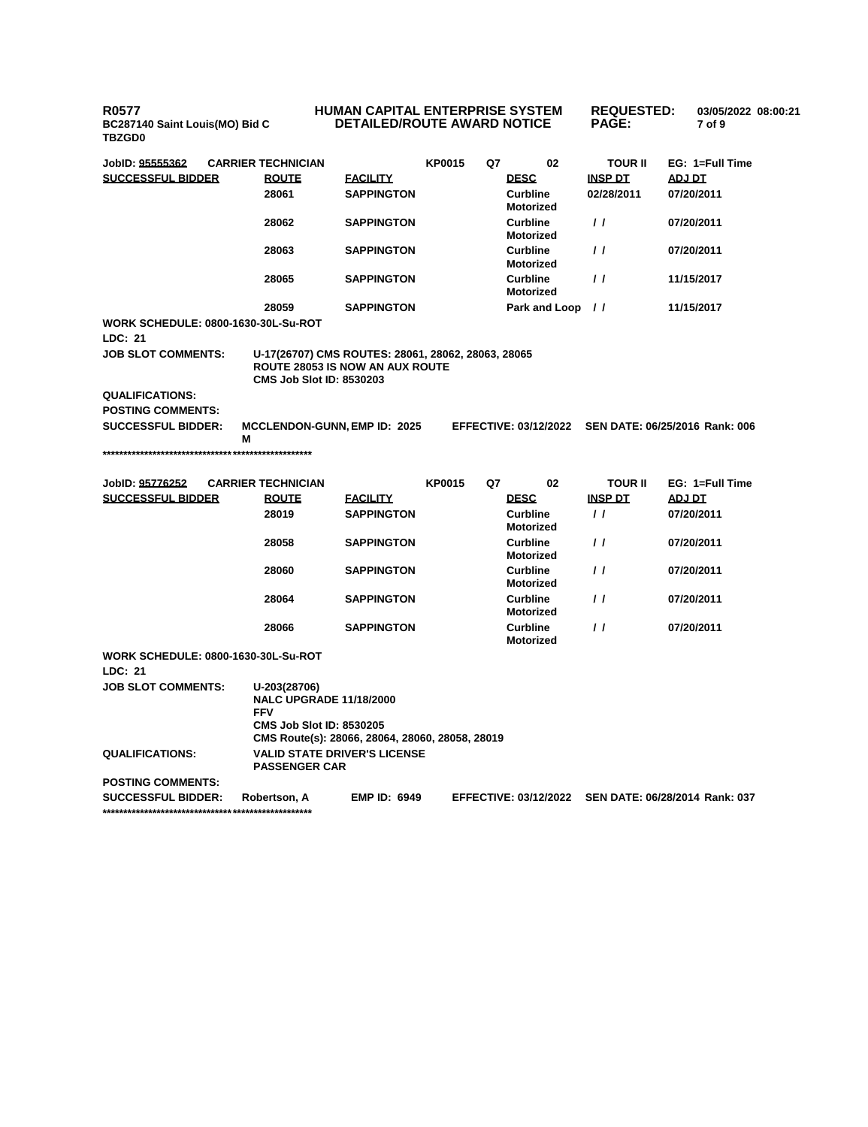**R0577 BC287140 Saint Louis(MO) Bid C TBZGD0**

## **HUMAN CAPITAL ENTERPRISE SYSTEM DETAILED/ROUTE AWARD NOTICE**

| JobID: 95555362                                       | <b>CARRIER TECHNICIAN</b>                                                                                                       |                     | <b>KP0015</b> | Q7 | 02                                  | <b>TOUR II</b>    | EG: 1=Full Time                                      |
|-------------------------------------------------------|---------------------------------------------------------------------------------------------------------------------------------|---------------------|---------------|----|-------------------------------------|-------------------|------------------------------------------------------|
| <b>SUCCESSFUL BIDDER</b>                              | <b>ROUTE</b>                                                                                                                    | <b>FACILITY</b>     |               |    | <b>DESC</b>                         | <b>INSP DT</b>    | ADJ DT                                               |
|                                                       | 28061                                                                                                                           | <b>SAPPINGTON</b>   |               |    | Curbline<br>Motorized               | 02/28/2011        | 07/20/2011                                           |
|                                                       | 28062                                                                                                                           | <b>SAPPINGTON</b>   |               |    | <b>Curbline</b><br><b>Motorized</b> | $\prime$ $\prime$ | 07/20/2011                                           |
|                                                       | 28063                                                                                                                           | <b>SAPPINGTON</b>   |               |    | <b>Curbline</b><br><b>Motorized</b> | $\prime$ $\prime$ | 07/20/2011                                           |
|                                                       | 28065                                                                                                                           | <b>SAPPINGTON</b>   |               |    | <b>Curbline</b><br><b>Motorized</b> | $\prime$          | 11/15/2017                                           |
|                                                       | 28059                                                                                                                           | <b>SAPPINGTON</b>   |               |    | <b>Park and Loop</b>                | $\prime\prime$    | 11/15/2017                                           |
| <b>WORK SCHEDULE: 0800-1630-30L-Su-ROT</b>            |                                                                                                                                 |                     |               |    |                                     |                   |                                                      |
| LDC: 21                                               |                                                                                                                                 |                     |               |    |                                     |                   |                                                      |
| <b>JOB SLOT COMMENTS:</b>                             | U-17(26707) CMS ROUTES: 28061, 28062, 28063, 28065<br><b>ROUTE 28053 IS NOW AN AUX ROUTE</b><br><b>CMS Job Slot ID: 8530203</b> |                     |               |    |                                     |                   |                                                      |
| <b>QUALIFICATIONS:</b>                                |                                                                                                                                 |                     |               |    |                                     |                   |                                                      |
| <b>POSTING COMMENTS:</b>                              |                                                                                                                                 |                     |               |    |                                     |                   |                                                      |
| <b>SUCCESSFUL BIDDER:</b>                             | MCCLENDON-GUNN, EMP ID: 2025<br>м                                                                                               |                     |               |    |                                     |                   | EFFECTIVE: 03/12/2022 SEN DATE: 06/25/2016 Rank: 006 |
|                                                       |                                                                                                                                 |                     |               |    |                                     |                   |                                                      |
| JobID: 95776252                                       | <b>CARRIER TECHNICIAN</b>                                                                                                       |                     | <b>KP0015</b> | Q7 | 02                                  | <b>TOUR II</b>    | EG: 1=Full Time                                      |
| <b>SUCCESSFUL BIDDER</b>                              | <b>ROUTE</b>                                                                                                                    | <b>EACILITY</b>     |               |    | <b>DESC</b>                         | <b>INSP DT</b>    | <b>ADJ DT</b>                                        |
|                                                       | 28019                                                                                                                           | <b>SAPPINGTON</b>   |               |    | Curbline<br><b>Motorized</b>        | $\prime$          | 07/20/2011                                           |
|                                                       | 28058                                                                                                                           | <b>SAPPINGTON</b>   |               |    | Curbline<br><b>Motorized</b>        | $\prime$          | 07/20/2011                                           |
|                                                       | 28060                                                                                                                           | <b>SAPPINGTON</b>   |               |    | <b>Curbline</b><br><b>Motorized</b> | $\prime$ /        | 07/20/2011                                           |
|                                                       | 28064                                                                                                                           | <b>SAPPINGTON</b>   |               |    | <b>Curbline</b><br><b>Motorized</b> | $\prime$          | 07/20/2011                                           |
|                                                       | 28066                                                                                                                           | <b>SAPPINGTON</b>   |               |    | <b>Curbline</b><br><b>Motorized</b> | $\prime$ /        | 07/20/2011                                           |
| <b>WORK SCHEDULE: 0800-1630-30L-Su-ROT</b><br>LDC: 21 |                                                                                                                                 |                     |               |    |                                     |                   |                                                      |
| <b>JOB SLOT COMMENTS:</b>                             | U-203(28706)                                                                                                                    |                     |               |    |                                     |                   |                                                      |
|                                                       | <b>NALC UPGRADE 11/18/2000</b><br><b>FFV</b>                                                                                    |                     |               |    |                                     |                   |                                                      |
|                                                       | <b>CMS Job Slot ID: 8530205</b><br>CMS Route(s): 28066, 28064, 28060, 28058, 28019                                              |                     |               |    |                                     |                   |                                                      |
| <b>QUALIFICATIONS:</b>                                | <b>VALID STATE DRIVER'S LICENSE</b><br><b>PASSENGER CAR</b>                                                                     |                     |               |    |                                     |                   |                                                      |
| <b>POSTING COMMENTS:</b>                              |                                                                                                                                 |                     |               |    |                                     |                   |                                                      |
| <b>SUCCESSFUL BIDDER:</b>                             | Robertson, A                                                                                                                    | <b>EMP ID: 6949</b> |               |    | <b>EFFECTIVE: 03/12/2022</b>        |                   | SEN DATE: 06/28/2014 Rank: 037                       |

**\*\*\*\*\*\*\*\*\*\*\*\*\*\*\*\*\*\*\*\*\*\*\*\*\*\*\*\*\*\*\*\*\*\*\*\*\*\*\*\*\*\*\*\*\*\*\*\*\*\***

**REQUESTED: 03/05/2022 08:00:21**

**7 of 9** 

**PAGE:**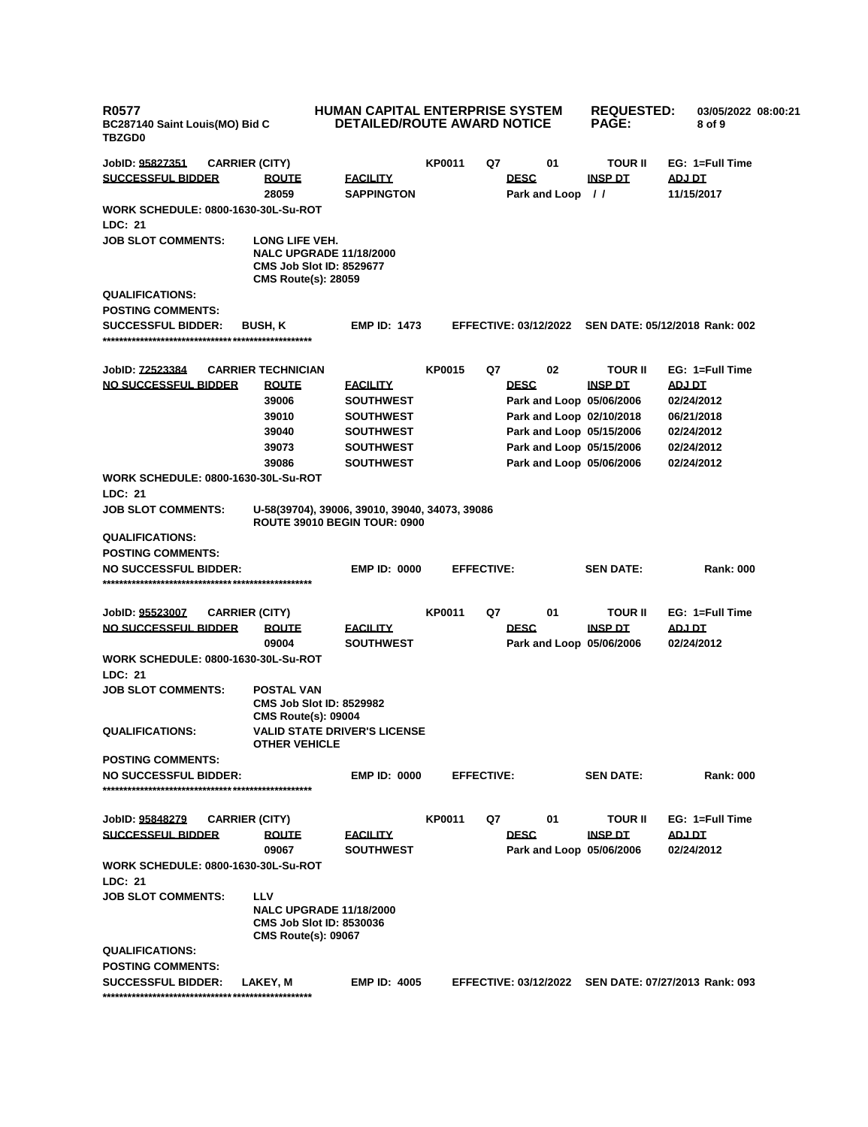| <b>R0577</b><br>BC287140 Saint Louis(MO) Bid C<br><b>TBZGD0</b> |                                                                                                                   | <b>HUMAN CAPITAL ENTERPRISE SYSTEM</b><br><b>DETAILED/ROUTE AWARD NOTICE</b> |               |                   |                                         | <b>REQUESTED:</b><br><b>PAGE:</b> | 03/05/2022 08:00:21<br>8 of 9  |  |
|-----------------------------------------------------------------|-------------------------------------------------------------------------------------------------------------------|------------------------------------------------------------------------------|---------------|-------------------|-----------------------------------------|-----------------------------------|--------------------------------|--|
| JobID: <u>95827351</u>                                          | <b>CARRIER (CITY)</b>                                                                                             |                                                                              | <b>KP0011</b> | Q7                | 01                                      | <b>TOUR II</b>                    | EG: 1=Full Time                |  |
| SUCCESSFUL BIDDER                                               | <b>ROUTE</b>                                                                                                      | <b>FACILITY</b>                                                              |               |                   | <b>DESC</b>                             | <b>INSP DT</b>                    | ADJ DT                         |  |
|                                                                 | 28059                                                                                                             | <b>SAPPINGTON</b>                                                            |               |                   | Park and Loop                           | $\frac{1}{2}$                     | 11/15/2017                     |  |
| WORK SCHEDULE: 0800-1630-30L-Su-ROT<br>LDC: 21                  |                                                                                                                   |                                                                              |               |                   |                                         |                                   |                                |  |
| <b>JOB SLOT COMMENTS:</b>                                       | LONG LIFE VEH.<br><b>NALC UPGRADE 11/18/2000</b><br><b>CMS Job Slot ID: 8529677</b><br><b>CMS Route(s): 28059</b> |                                                                              |               |                   |                                         |                                   |                                |  |
| <b>QUALIFICATIONS:</b>                                          |                                                                                                                   |                                                                              |               |                   |                                         |                                   |                                |  |
| <b>POSTING COMMENTS:</b>                                        |                                                                                                                   |                                                                              |               |                   |                                         |                                   |                                |  |
| <b>SUCCESSFUL BIDDER:</b>                                       | <b>BUSH, K</b>                                                                                                    | <b>EMP ID: 1473</b>                                                          |               |                   | <b>EFFECTIVE: 03/12/2022</b>            |                                   | SEN DATE: 05/12/2018 Rank: 002 |  |
| JobID: <u>72523384</u>                                          | <b>CARRIER TECHNICIAN</b>                                                                                         |                                                                              | <b>KP0015</b> | Q7                | 02                                      | <b>TOUR II</b>                    | EG: 1=Full Time                |  |
| <b>NO SUCCESSFUL BIDDER</b>                                     | <b>ROUTE</b>                                                                                                      | <b>FACILITY</b>                                                              |               |                   | <b>DESC</b>                             | <b>INSP DT</b>                    | <b>ADJ DT</b>                  |  |
|                                                                 | 39006                                                                                                             | <b>SOUTHWEST</b>                                                             |               |                   | Park and Loop 05/06/2006                |                                   | 02/24/2012                     |  |
|                                                                 | 39010                                                                                                             | <b>SOUTHWEST</b>                                                             |               |                   | Park and Loop 02/10/2018                |                                   | 06/21/2018                     |  |
|                                                                 | 39040                                                                                                             | <b>SOUTHWEST</b>                                                             |               |                   | Park and Loop 05/15/2006                |                                   | 02/24/2012                     |  |
|                                                                 | 39073                                                                                                             | <b>SOUTHWEST</b>                                                             |               |                   | Park and Loop 05/15/2006                |                                   | 02/24/2012                     |  |
|                                                                 | 39086                                                                                                             | <b>SOUTHWEST</b>                                                             |               |                   | Park and Loop 05/06/2006                |                                   | 02/24/2012                     |  |
| WORK SCHEDULE: 0800-1630-30L-Su-ROT<br>LDC: 21                  |                                                                                                                   |                                                                              |               |                   |                                         |                                   |                                |  |
| <b>JOB SLOT COMMENTS:</b>                                       | U-58(39704), 39006, 39010, 39040, 34073, 39086<br><b>ROUTE 39010 BEGIN TOUR: 0900</b>                             |                                                                              |               |                   |                                         |                                   |                                |  |
| <b>QUALIFICATIONS:</b>                                          |                                                                                                                   |                                                                              |               |                   |                                         |                                   |                                |  |
| <b>POSTING COMMENTS:</b>                                        |                                                                                                                   |                                                                              |               |                   |                                         |                                   |                                |  |
| <b>NO SUCCESSFUL BIDDER:</b>                                    |                                                                                                                   | <b>EMP ID: 0000</b>                                                          |               | <b>EFFECTIVE:</b> |                                         | <b>SEN DATE:</b>                  | <b>Rank: 000</b>               |  |
| JobID: <u>95523007</u>                                          | <b>CARRIER (CITY)</b>                                                                                             |                                                                              | <b>KP0011</b> | Q7                | 01                                      | <b>TOUR II</b>                    | EG: 1=Full Time                |  |
| <u>NO SUCCESSFUL BIDDER</u>                                     | <b>ROUTE</b>                                                                                                      | <b>FACILITY</b>                                                              |               |                   | <b>DESC</b>                             | <b>INSP DT</b>                    | <u>ADJ DT</u>                  |  |
|                                                                 | 09004                                                                                                             | <b>SOUTHWEST</b>                                                             |               |                   | Park and Loop 05/06/2006                |                                   | 02/24/2012                     |  |
| <b>WORK SCHEDULE: 0800-1630-30L-Su-ROT</b><br><b>LDC: 21</b>    |                                                                                                                   |                                                                              |               |                   |                                         |                                   |                                |  |
| <b>JOB SLOT COMMENTS:</b>                                       | <b>POSTAL VAN</b><br><b>CMS Job Slot ID: 8529982</b><br><b>CMS Route(s): 09004</b>                                |                                                                              |               |                   |                                         |                                   |                                |  |
| <b>QUALIFICATIONS:</b>                                          | <b>VALID STATE DRIVER'S LICENSE</b><br><b>OTHER VEHICLE</b>                                                       |                                                                              |               |                   |                                         |                                   |                                |  |
| <b>POSTING COMMENTS:</b>                                        |                                                                                                                   |                                                                              |               |                   |                                         |                                   |                                |  |
| <b>NO SUCCESSFUL BIDDER:</b>                                    |                                                                                                                   | <b>EMP ID: 0000</b>                                                          |               | <b>EFFECTIVE:</b> |                                         | <b>SEN DATE:</b>                  | <b>Rank: 000</b>               |  |
| JobID: <u>95848279</u>                                          | <b>CARRIER (CITY)</b>                                                                                             |                                                                              | <b>KP0011</b> | Q7                | 01                                      | <b>TOUR II</b>                    | EG: 1=Full Time                |  |
| <b>SUCCESSFUL BIDDER</b>                                        | <b>ROUTE</b><br>09067                                                                                             | <u>FACILITY</u><br><b>SOUTHWEST</b>                                          |               |                   | <b>DESC</b><br>Park and Loop 05/06/2006 | <u>INSP DT</u>                    | <u>ADJ DT</u><br>02/24/2012    |  |
| <b>WORK SCHEDULE: 0800-1630-30L-Su-ROT</b><br>LDC: 21           |                                                                                                                   |                                                                              |               |                   |                                         |                                   |                                |  |
| <b>JOB SLOT COMMENTS:</b>                                       | LLV<br><b>NALC UPGRADE 11/18/2000</b><br><b>CMS Job Slot ID: 8530036</b><br><b>CMS Route(s): 09067</b>            |                                                                              |               |                   |                                         |                                   |                                |  |
| <b>QUALIFICATIONS:</b><br><b>POSTING COMMENTS:</b>              |                                                                                                                   |                                                                              |               |                   |                                         |                                   |                                |  |
| <b>SUCCESSFUL BIDDER:</b>                                       | LAKEY, M                                                                                                          | <b>EMP ID: 4005</b>                                                          |               |                   | <b>EFFECTIVE: 03/12/2022</b>            |                                   | SEN DATE: 07/27/2013 Rank: 093 |  |
|                                                                 |                                                                                                                   |                                                                              |               |                   |                                         |                                   |                                |  |